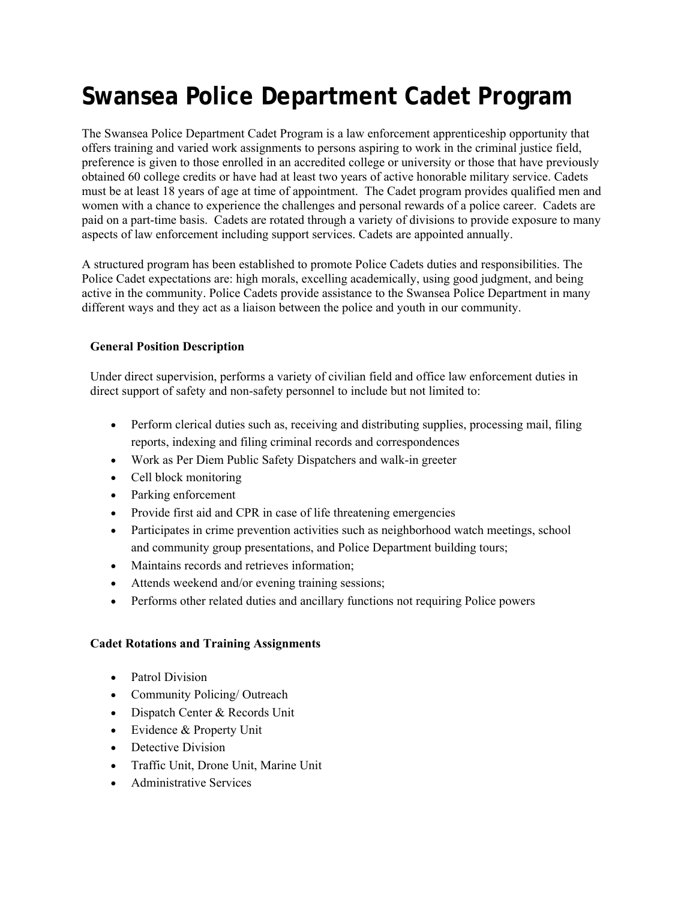# **Swansea Police Department Cadet Program**

The Swansea Police Department Cadet Program is a law enforcement apprenticeship opportunity that offers training and varied work assignments to persons aspiring to work in the criminal justice field, preference is given to those enrolled in an accredited college or university or those that have previously obtained 60 college credits or have had at least two years of active honorable military service. Cadets must be at least 18 years of age at time of appointment. The Cadet program provides qualified men and women with a chance to experience the challenges and personal rewards of a police career. Cadets are paid on a part-time basis. Cadets are rotated through a variety of divisions to provide exposure to many aspects of law enforcement including support services. Cadets are appointed annually.

A structured program has been established to promote Police Cadets duties and responsibilities. The Police Cadet expectations are: high morals, excelling academically, using good judgment, and being active in the community. Police Cadets provide assistance to the Swansea Police Department in many different ways and they act as a liaison between the police and youth in our community.

# **General Position Description**

Under direct supervision, performs a variety of civilian field and office law enforcement duties in direct support of safety and non-safety personnel to include but not limited to:

- Perform clerical duties such as, receiving and distributing supplies, processing mail, filing reports, indexing and filing criminal records and correspondences
- Work as Per Diem Public Safety Dispatchers and walk-in greeter
- Cell block monitoring
- Parking enforcement
- Provide first aid and CPR in case of life threatening emergencies
- Participates in crime prevention activities such as neighborhood watch meetings, school and community group presentations, and Police Department building tours;
- Maintains records and retrieves information;
- Attends weekend and/or evening training sessions;
- Performs other related duties and ancillary functions not requiring Police powers

# **Cadet Rotations and Training Assignments**

- Patrol Division
- Community Policing/ Outreach
- Dispatch Center & Records Unit
- Evidence & Property Unit
- Detective Division
- Traffic Unit, Drone Unit, Marine Unit
- Administrative Services